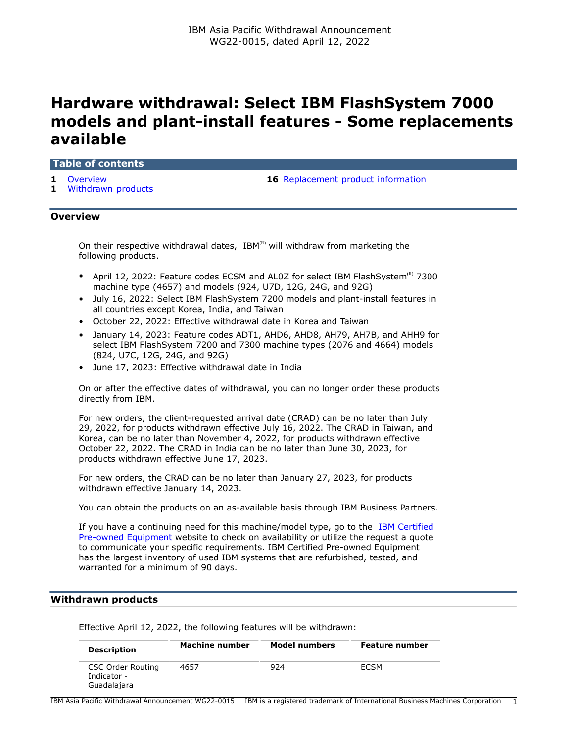# **Hardware withdrawal: Select IBM FlashSystem 7000 models and plant-install features - Some replacements available**

### **Table of contents**

- 
- **1** [Withdrawn products](#page-0-1)

**1** [Overview](#page-0-0) **16** [Replacement product information](#page-15-0)

### <span id="page-0-0"></span>**Overview**

On their respective withdrawal dates,  $IBM^{(R)}$  will withdraw from marketing the following products.

- April 12, 2022: Feature codes ECSM and AL0Z for select IBM FlashSystem<sup>(R)</sup> 7300 machine type (4657) and models (924, U7D, 12G, 24G, and 92G)
- July 16, 2022: Select IBM FlashSystem 7200 models and plant-install features in all countries except Korea, India, and Taiwan
- October 22, 2022: Effective withdrawal date in Korea and Taiwan
- January 14, 2023: Feature codes ADT1, AHD6, AHD8, AH79, AH7B, and AHH9 for select IBM FlashSystem 7200 and 7300 machine types (2076 and 4664) models (824, U7C, 12G, 24G, and 92G)
- June 17, 2023: Effective withdrawal date in India

On or after the effective dates of withdrawal, you can no longer order these products directly from IBM.

For new orders, the client-requested arrival date (CRAD) can be no later than July 29, 2022, for products withdrawn effective July 16, 2022. The CRAD in Taiwan, and Korea, can be no later than November 4, 2022, for products withdrawn effective October 22, 2022. The CRAD in India can be no later than June 30, 2023, for products withdrawn effective June 17, 2023.

For new orders, the CRAD can be no later than January 27, 2023, for products withdrawn effective January 14, 2023.

You can obtain the products on an as-available basis through IBM Business Partners.

If you have a continuing need for this machine/model type, go to the [IBM Certified](https://www.ibm.com/financing/pre-owned/ibm-certified-used-equipment) [Pre-owned Equipment](https://www.ibm.com/financing/pre-owned/ibm-certified-used-equipment) website to check on availability or utilize the request a quote to communicate your specific requirements. IBM Certified Pre-owned Equipment has the largest inventory of used IBM systems that are refurbished, tested, and warranted for a minimum of 90 days.

### <span id="page-0-1"></span>**Withdrawn products**

Effective April 12, 2022, the following features will be withdrawn:

| <b>Description</b>                              | Machine number | Model numbers | <b>Feature number</b> |
|-------------------------------------------------|----------------|---------------|-----------------------|
| CSC Order Routing<br>Indicator -<br>Guadalajara | 4657           | 924           | <b>ECSM</b>           |

IBM Asia Pacific Withdrawal Announcement WG22-0015 IBM is a registered trademark of International Business Machines Corporation 1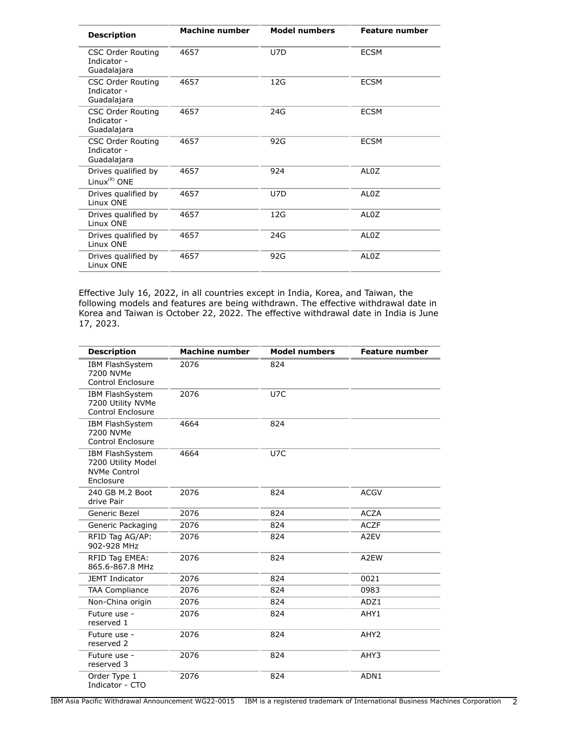| <b>Description</b>                                     | Machine number | <b>Model numbers</b> | <b>Feature number</b> |
|--------------------------------------------------------|----------------|----------------------|-----------------------|
| <b>CSC Order Routing</b><br>Indicator -<br>Guadalajara | 4657           | U7D                  | <b>ECSM</b>           |
| <b>CSC Order Routing</b><br>Indicator -<br>Guadalajara | 4657           | 12G                  | <b>ECSM</b>           |
| CSC Order Routing<br>Indicator -<br>Guadalajara        | 4657           | 24G                  | <b>ECSM</b>           |
| <b>CSC Order Routing</b><br>Indicator -<br>Guadalajara | 4657           | 92G                  | <b>ECSM</b>           |
| Drives qualified by<br>Linu $x^{(R)}$ ONE              | 4657           | 924                  | AL0Z                  |
| Drives qualified by<br>Linux ONE                       | 4657           | U7D                  | AL <sub>0</sub> Z     |
| Drives qualified by<br>Linux ONF                       | 4657           | 12G                  | AL <sub>0</sub> Z     |
| Drives qualified by<br>Linux ONE                       | 4657           | 24G                  | AL <sub>0</sub> Z     |
| Drives qualified by<br>Linux ONE                       | 4657           | 92G                  | AL0Z                  |

Effective July 16, 2022, in all countries except in India, Korea, and Taiwan, the following models and features are being withdrawn. The effective withdrawal date in Korea and Taiwan is October 22, 2022. The effective withdrawal date in India is June 17, 2023.

| <b>Description</b>                                                        | <b>Machine number</b> | <b>Model numbers</b> | <b>Feature number</b> |
|---------------------------------------------------------------------------|-----------------------|----------------------|-----------------------|
| IBM FlashSystem<br>7200 NVMe<br><b>Control Enclosure</b>                  | 2076                  | 824                  |                       |
| IBM FlashSystem<br>7200 Utility NVMe<br>Control Enclosure                 | 2076                  | U7C                  |                       |
| IBM FlashSystem<br>7200 NVMe<br><b>Control Enclosure</b>                  | 4664                  | 824                  |                       |
| IBM FlashSystem<br>7200 Utility Model<br><b>NVMe Control</b><br>Enclosure | 4664                  | U7C                  |                       |
| 240 GB M.2 Boot<br>drive Pair                                             | 2076                  | 824                  | <b>ACGV</b>           |
| Generic Bezel                                                             | 2076                  | 824                  | <b>ACZA</b>           |
| Generic Packaging                                                         | 2076                  | 824                  | <b>ACZF</b>           |
| RFID Tag AG/AP:<br>902-928 MHz                                            | 2076                  | 824                  | A2EV                  |
| RFID Tag EMEA:<br>865.6-867.8 MHz                                         | 2076                  | 824                  | A2EW                  |
| <b>JEMT Indicator</b>                                                     | 2076                  | 824                  | 0021                  |
| <b>TAA Compliance</b>                                                     | 2076                  | 824                  | 0983                  |
| Non-China origin                                                          | 2076                  | 824                  | ADZ1                  |
| Future use -<br>reserved 1                                                | 2076                  | 824                  | AHY1                  |
| Future use -<br>reserved 2                                                | 2076                  | 824                  | AHY <sub>2</sub>      |
| Future use -<br>reserved 3                                                | 2076                  | 824                  | AHY3                  |
| Order Type 1<br>Indicator - CTO                                           | 2076                  | 824                  | ADN1                  |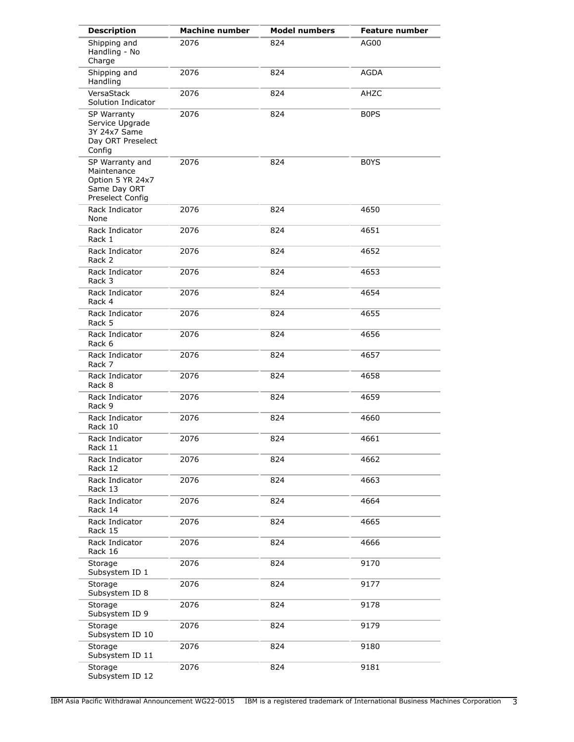| <b>Description</b>                                                                     | <b>Machine number</b> | <b>Model numbers</b> | <b>Feature number</b> |
|----------------------------------------------------------------------------------------|-----------------------|----------------------|-----------------------|
| Shipping and<br>Handling - No<br>Charge                                                | 2076                  | 824                  | AG00                  |
| Shipping and<br>Handling                                                               | 2076                  | 824                  | <b>AGDA</b>           |
| VersaStack<br>Solution Indicator                                                       | 2076                  | 824                  | AHZC                  |
| SP Warranty<br>Service Upgrade<br>3Y 24x7 Same<br>Day ORT Preselect<br>Config          | 2076                  | 824                  | <b>BOPS</b>           |
| SP Warranty and<br>Maintenance<br>Option 5 YR 24x7<br>Same Day ORT<br>Preselect Config | 2076                  | 824                  | B <sub>0</sub> YS     |
| Rack Indicator<br><b>None</b>                                                          | 2076                  | 824                  | 4650                  |
| Rack Indicator<br>Rack 1                                                               | 2076                  | 824                  | 4651                  |
| Rack Indicator<br>Rack 2                                                               | 2076                  | 824                  | 4652                  |
| Rack Indicator<br>Rack 3                                                               | 2076                  | 824                  | 4653                  |
| Rack Indicator<br>Rack 4                                                               | 2076                  | 824                  | 4654                  |
| Rack Indicator<br>Rack 5                                                               | 2076                  | 824                  | 4655                  |
| Rack Indicator<br>Rack 6                                                               | 2076                  | 824                  | 4656                  |
| Rack Indicator<br>Rack 7                                                               | 2076                  | 824                  | 4657                  |
| Rack Indicator<br>Rack 8                                                               | 2076                  | 824                  | 4658                  |
| Rack Indicator<br>Rack 9                                                               | 2076                  | 824                  | 4659                  |
| Rack Indicator<br>Rack 10                                                              | 2076                  | 824                  | 4660                  |
| Rack Indicator<br>Rack 11                                                              | 2076                  | 824                  | 4661                  |
| Rack Indicator<br>Rack 12                                                              | 2076                  | 824                  | 4662                  |
| Rack Indicator<br>Rack 13                                                              | 2076                  | 824                  | 4663                  |
| Rack Indicator<br>Rack 14                                                              | 2076                  | 824                  | 4664                  |
| Rack Indicator<br>Rack 15                                                              | 2076                  | 824                  | 4665                  |
| Rack Indicator<br>Rack 16                                                              | 2076                  | 824                  | 4666                  |
| Storage<br>Subsystem ID 1                                                              | 2076                  | 824                  | 9170                  |
| Storage<br>Subsystem ID 8                                                              | 2076                  | 824                  | 9177                  |
| Storage<br>Subsystem ID 9                                                              | 2076                  | 824                  | 9178                  |
| Storage<br>Subsystem ID 10                                                             | 2076                  | 824                  | 9179                  |
| Storage<br>Subsystem ID 11                                                             | 2076                  | 824                  | 9180                  |
| Storage<br>Subsystem ID 12                                                             | 2076                  | 824                  | 9181                  |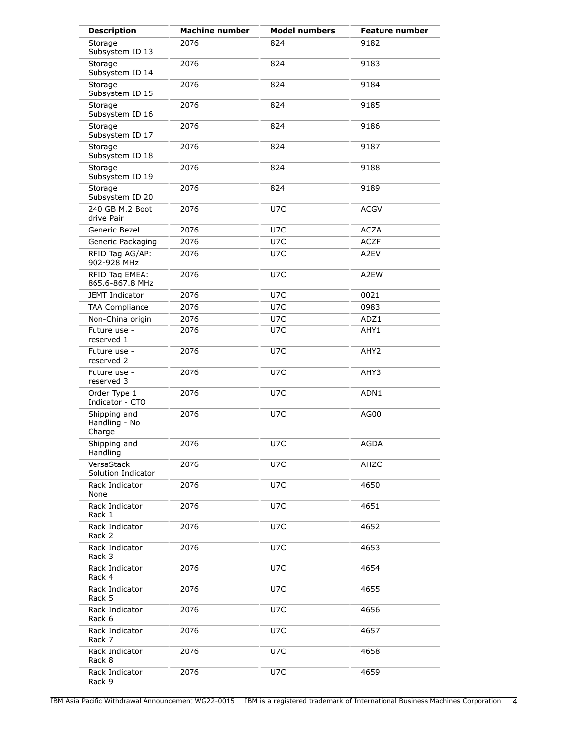| <b>Description</b>                      | <b>Machine number</b> | <b>Model numbers</b> | <b>Feature number</b> |
|-----------------------------------------|-----------------------|----------------------|-----------------------|
| Storage<br>Subsystem ID 13              | 2076                  | 824                  | 9182                  |
| Storage<br>Subsystem ID 14              | 2076                  | 824                  | 9183                  |
| Storage<br>Subsystem ID 15              | 2076                  | 824                  | 9184                  |
| Storage<br>Subsystem ID 16              | 2076                  | 824                  | 9185                  |
| Storage<br>Subsystem ID 17              | 2076                  | 824                  | 9186                  |
| Storage<br>Subsystem ID 18              | 2076                  | 824                  | 9187                  |
| Storage<br>Subsystem ID 19              | 2076                  | 824                  | 9188                  |
| Storage<br>Subsystem ID 20              | 2076                  | 824                  | 9189                  |
| 240 GB M.2 Boot<br>drive Pair           | 2076                  | U7C                  | <b>ACGV</b>           |
| Generic Bezel                           | 2076                  | U7C                  | <b>ACZA</b>           |
| Generic Packaging                       | 2076                  | U7C                  | <b>ACZF</b>           |
| RFID Tag AG/AP:<br>902-928 MHz          | 2076                  | U7C                  | A2EV                  |
| RFID Tag EMEA:<br>865.6-867.8 MHz       | 2076                  | U7C                  | A2EW                  |
| <b>JEMT Indicator</b>                   | 2076                  | U7C                  | 0021                  |
| <b>TAA Compliance</b>                   | 2076                  | U7C                  | 0983                  |
| Non-China origin                        | 2076                  | U7C                  | ADZ1                  |
|                                         |                       |                      |                       |
| Future use -<br>reserved 1              | 2076                  | U7C                  | AHY1                  |
| Future use -<br>reserved 2              | 2076                  | U7C                  | AHY <sub>2</sub>      |
| Future use -<br>reserved 3              | 2076                  | U7C                  | AHY3                  |
| Order Type 1<br>Indicator - CTO         | 2076                  | U7C                  | ADN1                  |
| Shipping and<br>Handling - No<br>Charge | 2076                  | U7C                  | AG00                  |
| Shipping and<br>Handling                | 2076                  | U7C                  | <b>AGDA</b>           |
| VersaStack<br>Solution Indicator        | 2076                  | U7C                  | AHZC                  |
| Rack Indicator<br>None                  | 2076                  | U7C                  | 4650                  |
| Rack Indicator<br>Rack 1                | 2076                  | U7C                  | 4651                  |
| Rack Indicator<br>Rack 2                | 2076                  | U7C                  | 4652                  |
| Rack Indicator<br>Rack 3                | 2076                  | U7C                  | 4653                  |
| Rack Indicator<br>Rack 4                | 2076                  | U7C                  | 4654                  |
| Rack Indicator<br>Rack 5                | 2076                  | U7C                  | 4655                  |
| Rack Indicator<br>Rack 6                | 2076                  | U7C                  | 4656                  |
| Rack Indicator<br>Rack 7                | 2076                  | U7C                  | 4657                  |
| Rack Indicator<br>Rack 8                | 2076                  | U7C                  | 4658                  |
| Rack Indicator<br>Rack 9                | 2076                  | U7C                  | 4659                  |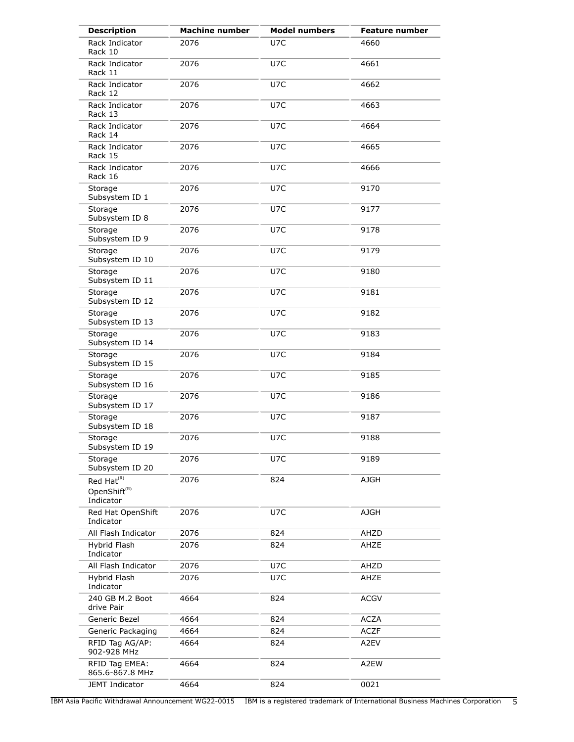| <b>Description</b>                                              | <b>Machine number</b> | <b>Model numbers</b> | <b>Feature number</b> |
|-----------------------------------------------------------------|-----------------------|----------------------|-----------------------|
| Rack Indicator<br>Rack 10                                       | 2076                  | U7C                  | 4660                  |
| Rack Indicator<br>Rack 11                                       | 2076                  | U7C                  | 4661                  |
| Rack Indicator<br>Rack 12                                       | 2076                  | U7C                  | 4662                  |
| Rack Indicator<br>Rack 13                                       | 2076                  | U7C                  | 4663                  |
| Rack Indicator<br>Rack 14                                       | 2076                  | U7C                  | 4664                  |
| Rack Indicator<br>Rack 15                                       | 2076                  | U7C                  | 4665                  |
| Rack Indicator<br>Rack 16                                       | 2076                  | U7C                  | 4666                  |
| Storage<br>Subsystem ID 1                                       | 2076                  | U7C                  | 9170                  |
| Storage<br>Subsystem ID 8                                       | 2076                  | U7C                  | 9177                  |
| Storage<br>Subsystem ID 9                                       | 2076                  | U7C                  | 9178                  |
| Storage<br>Subsystem ID 10                                      | 2076                  | U7C                  | 9179                  |
| Storage<br>Subsystem ID 11                                      | 2076                  | U7C                  | 9180                  |
| Storage<br>Subsystem ID 12                                      | 2076                  | U7C                  | 9181                  |
| Storage<br>Subsystem ID 13                                      | 2076                  | U7C                  | 9182                  |
| Storage<br>Subsystem ID 14                                      | 2076                  | U7C                  | 9183                  |
| Storage<br>Subsystem ID 15                                      | 2076                  | U7C                  | 9184                  |
| Storage<br>Subsystem ID 16                                      | 2076                  | U7C                  | 9185                  |
| Storage<br>Subsystem ID 17                                      | 2076                  | U7C                  | 9186                  |
| Storage<br>Subsystem ID 18                                      | 2076                  | U7C                  | 9187                  |
| Storage<br>Subsystem ID 19                                      | 2076                  | U7C                  | 9188                  |
| Storage<br>Subsystem ID 20                                      | 2076                  | U7C                  | 9189                  |
| Red Hat <sup>(R)</sup><br>OpenShift <sup>(R)</sup><br>Indicator | 2076                  | 824                  | <b>AJGH</b>           |
| Red Hat OpenShift<br>Indicator                                  | 2076                  | U7C                  | <b>AJGH</b>           |
| All Flash Indicator                                             | 2076                  | 824                  | AHZD                  |
| Hybrid Flash<br>Indicator                                       | 2076                  | 824                  | AHZE                  |
| All Flash Indicator                                             | 2076                  | U7C                  | AHZD                  |
| Hybrid Flash<br>Indicator                                       | 2076                  | U7C                  | AHZE                  |
| 240 GB M.2 Boot<br>drive Pair                                   | 4664                  | 824                  | <b>ACGV</b>           |
| Generic Bezel                                                   | 4664                  | 824                  | <b>ACZA</b>           |
| Generic Packaging                                               | 4664                  | 824                  | <b>ACZF</b>           |
| RFID Tag AG/AP:<br>902-928 MHz                                  | 4664                  | 824                  | A2EV                  |
| RFID Tag EMEA:<br>865.6-867.8 MHz                               | 4664                  | 824                  | A2EW                  |
| JEMT Indicator                                                  | 4664                  | 824                  | 0021                  |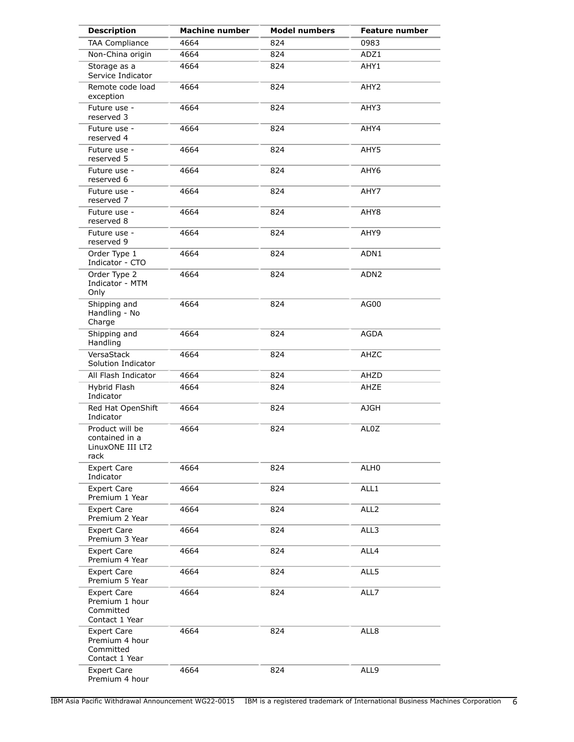| <b>Description</b>                                                  | <b>Machine number</b> | <b>Model numbers</b> | <b>Feature number</b> |
|---------------------------------------------------------------------|-----------------------|----------------------|-----------------------|
| <b>TAA Compliance</b>                                               | 4664                  | 824                  | 0983                  |
| Non-China origin                                                    | 4664                  | 824                  | ADZ1                  |
| Storage as a<br>Service Indicator                                   | 4664                  | 824                  | AHY1                  |
| Remote code load<br>exception                                       | 4664                  | 824                  | AHY <sub>2</sub>      |
| Future use -<br>reserved 3                                          | 4664                  | 824                  | AHY3                  |
| Future use -<br>reserved 4                                          | 4664                  | 824                  | AHY4                  |
| Future use -<br>reserved 5                                          | 4664                  | 824                  | AHY5                  |
| Future use -<br>reserved 6                                          | 4664                  | 824                  | AHY6                  |
| Future use -<br>reserved 7                                          | 4664                  | 824                  | AHY7                  |
| Future use -<br>reserved 8                                          | 4664                  | 824                  | AHY8                  |
| Future use -<br>reserved 9                                          | 4664                  | 824                  | AHY9                  |
| Order Type 1<br>Indicator - CTO                                     | 4664                  | 824                  | ADN1                  |
| Order Type 2<br>Indicator - MTM<br>Only                             | 4664                  | 824                  | ADN <sub>2</sub>      |
| Shipping and<br>Handling - No<br>Charge                             | 4664                  | 824                  | AG00                  |
| Shipping and<br>Handling                                            | 4664                  | 824                  | AGDA                  |
| VersaStack<br>Solution Indicator                                    | 4664                  | 824                  | AHZC                  |
| All Flash Indicator                                                 | 4664                  | 824                  | AHZD                  |
| Hybrid Flash<br>Indicator                                           | 4664                  | 824                  | AHZE                  |
| Red Hat OpenShift<br>Indicator                                      | 4664                  | 824                  | <b>AJGH</b>           |
| Product will be<br>contained in a<br>LINUXONE III LIZ<br>rack       | 4664                  | 824                  | AL0Z                  |
| <b>Expert Care</b><br>Indicator                                     | 4664                  | 824                  | ALH0                  |
| <b>Expert Care</b><br>Premium 1 Year                                | 4664                  | 824                  | ALL1                  |
| <b>Expert Care</b><br>Premium 2 Year                                | 4664                  | 824                  | ALL <sub>2</sub>      |
| <b>Expert Care</b><br>Premium 3 Year                                | 4664                  | 824                  | ALL3                  |
| <b>Expert Care</b><br>Premium 4 Year                                | 4664                  | 824                  | ALL4                  |
| <b>Expert Care</b><br>Premium 5 Year                                | 4664                  | 824                  | ALL5                  |
| <b>Expert Care</b><br>Premium 1 hour<br>Committed<br>Contact 1 Year | 4664                  | 824                  | ALL7                  |
| <b>Expert Care</b><br>Premium 4 hour<br>Committed<br>Contact 1 Year | 4664                  | 824                  | ALL8                  |
| <b>Expert Care</b><br>Premium 4 hour                                | 4664                  | 824                  | ALL9                  |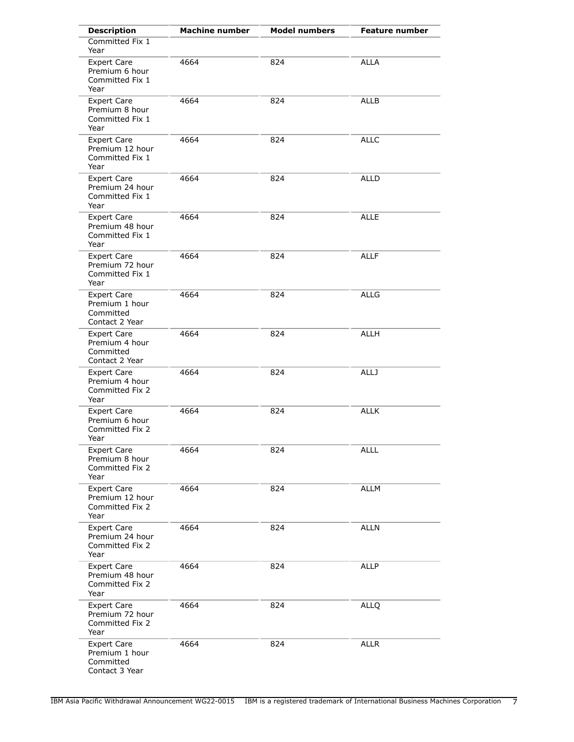| <b>Description</b>                                                  | <b>Machine number</b> | <b>Model numbers</b> | <b>Feature number</b> |
|---------------------------------------------------------------------|-----------------------|----------------------|-----------------------|
| Committed Fix 1<br>Year                                             |                       |                      |                       |
| <b>Expert Care</b><br>Premium 6 hour<br>Committed Fix 1<br>Year     | 4664                  | 824                  | <b>ALLA</b>           |
| <b>Expert Care</b><br>Premium 8 hour<br>Committed Fix 1<br>Year     | 4664                  | 824                  | <b>ALLB</b>           |
| Expert Care<br>Premium 12 hour<br>Committed Fix 1<br>Year           | 4664                  | 824                  | <b>ALLC</b>           |
| <b>Expert Care</b><br>Premium 24 hour<br>Committed Fix 1<br>Year    | 4664                  | 824                  | <b>ALLD</b>           |
| <b>Expert Care</b><br>Premium 48 hour<br>Committed Fix 1<br>Year    | 4664                  | 824                  | <b>ALLE</b>           |
| <b>Expert Care</b><br>Premium 72 hour<br>Committed Fix 1<br>Year    | 4664                  | 824                  | <b>ALLF</b>           |
| <b>Expert Care</b><br>Premium 1 hour<br>Committed<br>Contact 2 Year | 4664                  | 824                  | ALLG                  |
| Expert Care<br>Premium 4 hour<br>Committed<br>Contact 2 Year        | 4664                  | 824                  | <b>ALLH</b>           |
| <b>Expert Care</b><br>Premium 4 hour<br>Committed Fix 2<br>Year     | 4664                  | 824                  | <b>ALLJ</b>           |
| <b>Expert Care</b><br>Premium 6 hour<br>Committed Fix 2<br>Year     | 4664                  | 824                  | <b>ALLK</b>           |
| <b>Expert Care</b><br>Premium 8 hour<br>Committed Fix 2<br>Year     | 4664                  | 824                  | <b>ALLL</b>           |
| <b>Expert Care</b><br>Premium 12 hour<br>Committed Fix 2<br>Year    | 4664                  | 824                  | ALLM                  |
| Expert Care<br>Premium 24 hour<br>Committed Fix 2<br>Year           | 4664                  | 824                  | <b>ALLN</b>           |
| <b>Expert Care</b><br>Premium 48 hour<br>Committed Fix 2<br>Year    | 4664                  | 824                  | <b>ALLP</b>           |
| <b>Expert Care</b><br>Premium 72 hour<br>Committed Fix 2<br>Year    | 4664                  | 824                  | <b>ALLQ</b>           |
| <b>Expert Care</b><br>Premium 1 hour<br>Committed<br>Contact 3 Year | 4664                  | 824                  | <b>ALLR</b>           |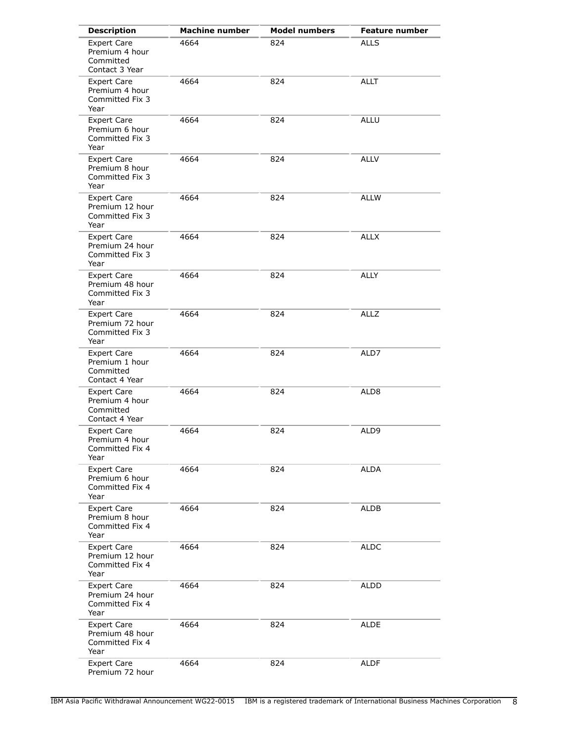| <b>Description</b>                                                  | <b>Machine number</b> | <b>Model numbers</b> | <b>Feature number</b> |
|---------------------------------------------------------------------|-----------------------|----------------------|-----------------------|
| <b>Expert Care</b><br>Premium 4 hour<br>Committed<br>Contact 3 Year | 4664                  | 824                  | <b>ALLS</b>           |
| <b>Expert Care</b><br>Premium 4 hour<br>Committed Fix 3<br>Year     | 4664                  | 824                  | <b>ALLT</b>           |
| <b>Expert Care</b><br>Premium 6 hour<br>Committed Fix 3<br>Year     | 4664                  | 824                  | <b>ALLU</b>           |
| <b>Expert Care</b><br>Premium 8 hour<br>Committed Fix 3<br>Year     | 4664                  | 824                  | <b>ALLV</b>           |
| <b>Expert Care</b><br>Premium 12 hour<br>Committed Fix 3<br>Year    | 4664                  | 824                  | ALLW                  |
| <b>Expert Care</b><br>Premium 24 hour<br>Committed Fix 3<br>Year    | 4664                  | 824                  | <b>ALLX</b>           |
| <b>Expert Care</b><br>Premium 48 hour<br>Committed Fix 3<br>Year    | 4664                  | 824                  | <b>ALLY</b>           |
| <b>Expert Care</b><br>Premium 72 hour<br>Committed Fix 3<br>Year    | 4664                  | 824                  | <b>ALLZ</b>           |
| <b>Expert Care</b><br>Premium 1 hour<br>Committed<br>Contact 4 Year | 4664                  | 824                  | ALD7                  |
| <b>Expert Care</b><br>Premium 4 hour<br>Committed<br>Contact 4 Year | 4664                  | 824                  | ALD8                  |
| <b>Expert Care</b><br>Premium 4 hour<br>Committed Fix 4<br>Year     | 4664                  | 824                  | ALD9                  |
| <b>Expert Care</b><br>Premium 6 hour<br>Committed Fix 4<br>Year     | 4664                  | 824                  | ALDA                  |
| <b>Expert Care</b><br>Premium 8 hour<br>Committed Fix 4<br>Year     | 4664                  | 824                  | ALDB                  |
| <b>Expert Care</b><br>Premium 12 hour<br>Committed Fix 4<br>Year    | 4664                  | 824                  | <b>ALDC</b>           |
| <b>Expert Care</b><br>Premium 24 hour<br>Committed Fix 4<br>Year    | 4664                  | 824                  | ALDD                  |
| <b>Expert Care</b><br>Premium 48 hour<br>Committed Fix 4<br>Year    | 4664                  | 824                  | <b>ALDE</b>           |
| <b>Expert Care</b><br>Premium 72 hour                               | 4664                  | 824                  | <b>ALDF</b>           |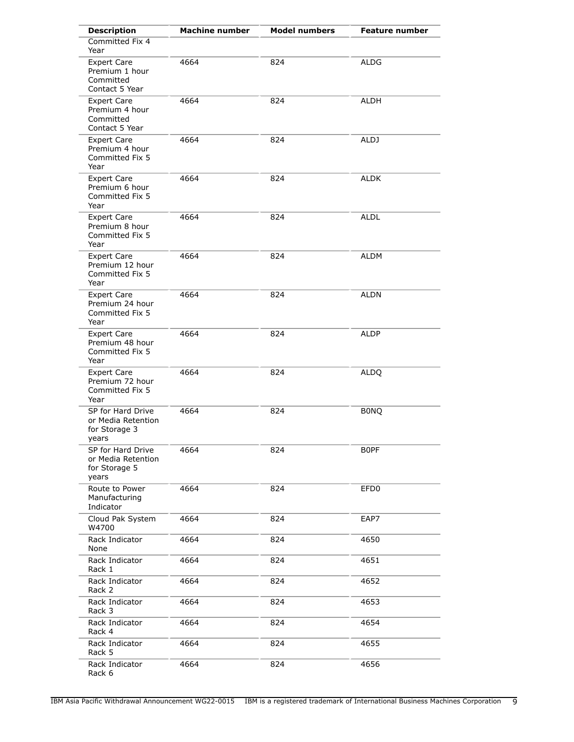| <b>Description</b>                                                  | Machine number | <b>Model numbers</b> | Feature number   |
|---------------------------------------------------------------------|----------------|----------------------|------------------|
| Committed Fix 4<br>Year                                             |                |                      |                  |
| <b>Expert Care</b><br>Premium 1 hour<br>Committed<br>Contact 5 Year | 4664           | 824                  | <b>ALDG</b>      |
| <b>Expert Care</b><br>Premium 4 hour<br>Committed<br>Contact 5 Year | 4664           | 824                  | <b>ALDH</b>      |
| <b>Expert Care</b><br>Premium 4 hour<br>Committed Fix 5<br>Year     | 4664           | 824                  | ALDJ             |
| <b>Expert Care</b><br>Premium 6 hour<br>Committed Fix 5<br>Year     | 4664           | 824                  | <b>ALDK</b>      |
| <b>Expert Care</b><br>Premium 8 hour<br>Committed Fix 5<br>Year     | 4664           | 824                  | <b>ALDL</b>      |
| <b>Expert Care</b><br>Premium 12 hour<br>Committed Fix 5<br>Year    | 4664           | 824                  | ALDM             |
| <b>Expert Care</b><br>Premium 24 hour<br>Committed Fix 5<br>Year    | 4664           | 824                  | ALDN             |
| <b>Expert Care</b><br>Premium 48 hour<br>Committed Fix 5<br>Year    | 4664           | 824                  | ALDP             |
| <b>Expert Care</b><br>Premium 72 hour<br>Committed Fix 5<br>Year    | 4664           | 824                  | <b>ALDQ</b>      |
| SP for Hard Drive<br>or Media Retention<br>for Storage 3<br>years   | 4664           | 824                  | <b>BONQ</b>      |
| SP for Hard Drive<br>or Media Retention<br>for Storage 5<br>years   | 4664           | 824                  | <b>BOPF</b>      |
| Route to Power<br>Manufacturing<br>Indicator                        | 4664           | 824                  | EFD <sub>0</sub> |
| Cloud Pak System<br>W4700                                           | 4664           | 824                  | EAP7             |
| Rack Indicator<br>None                                              | 4664           | 824                  | 4650             |
| Rack Indicator<br>Rack 1                                            | 4664           | 824                  | 4651             |
| Rack Indicator<br>Rack 2                                            | 4664           | 824                  | 4652             |
| Rack Indicator<br>Rack 3                                            | 4664           | 824                  | 4653             |
| Rack Indicator<br>Rack 4                                            | 4664           | 824                  | 4654             |
| Rack Indicator<br>Rack 5                                            | 4664           | 824                  | 4655             |
| Rack Indicator<br>Rack 6                                            | 4664           | 824                  | 4656             |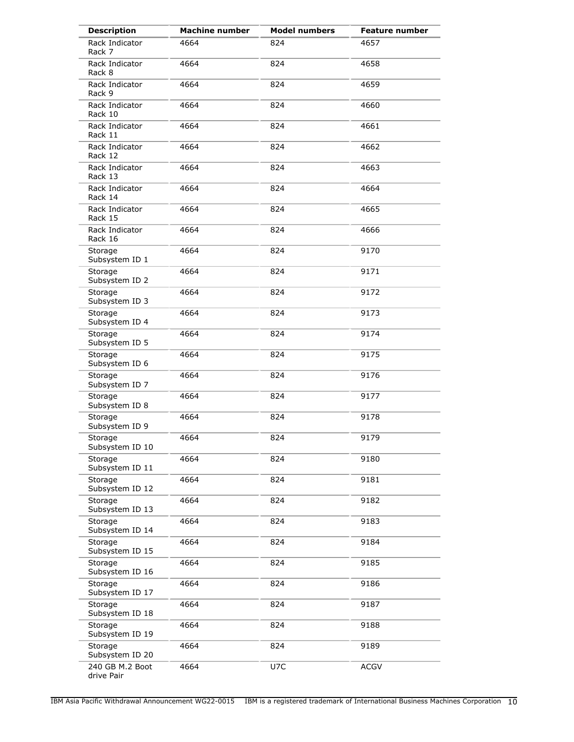| <b>Description</b>            | <b>Machine number</b> | <b>Model numbers</b> | <b>Feature number</b> |
|-------------------------------|-----------------------|----------------------|-----------------------|
| Rack Indicator<br>Rack 7      | 4664                  | 824                  | 4657                  |
| Rack Indicator<br>Rack 8      | 4664                  | 824                  | 4658                  |
| Rack Indicator<br>Rack 9      | 4664                  | 824                  | 4659                  |
| Rack Indicator<br>Rack 10     | 4664                  | 824                  | 4660                  |
| Rack Indicator<br>Rack 11     | 4664                  | 824                  | 4661                  |
| Rack Indicator<br>Rack 12     | 4664                  | 824                  | 4662                  |
| Rack Indicator<br>Rack 13     | 4664                  | 824                  | 4663                  |
| Rack Indicator<br>Rack 14     | 4664                  | 824                  | 4664                  |
| Rack Indicator<br>Rack 15     | 4664                  | 824                  | 4665                  |
| Rack Indicator<br>Rack 16     | 4664                  | 824                  | 4666                  |
| Storage<br>Subsystem ID 1     | 4664                  | 824                  | 9170                  |
| Storage<br>Subsystem ID 2     | 4664                  | 824                  | 9171                  |
| Storage<br>Subsystem ID 3     | 4664                  | 824                  | 9172                  |
| Storage<br>Subsystem ID 4     | 4664                  | 824                  | 9173                  |
| Storage<br>Subsystem ID 5     | 4664                  | 824                  | 9174                  |
| Storage<br>Subsystem ID 6     | 4664                  | 824                  | 9175                  |
| Storage<br>Subsystem ID 7     | 4664                  | 824                  | 9176                  |
| Storage<br>Subsystem ID 8     | 4664                  | 824                  | 9177                  |
| Storage<br>Subsystem ID 9     | 4664                  | 824                  | 9178                  |
| Storage<br>Subsystem ID 10    | 4664                  | 824                  | 9179                  |
| Storage<br>Subsystem ID 11    | 4664                  | 824                  | 9180                  |
| Storage<br>Subsystem ID 12    | 4664                  | 824                  | 9181                  |
| Storage<br>Subsystem ID 13    | 4664                  | 824                  | 9182                  |
| Storage<br>Subsystem ID 14    | 4664                  | 824                  | 9183                  |
| Storage<br>Subsystem ID 15    | 4664                  | 824                  | 9184                  |
| Storage<br>Subsystem ID 16    | 4664                  | 824                  | 9185                  |
| Storage<br>Subsystem ID 17    | 4664                  | 824                  | 9186                  |
| Storage<br>Subsystem ID 18    | 4664                  | 824                  | 9187                  |
| Storage<br>Subsystem ID 19    | 4664                  | 824                  | 9188                  |
| Storage<br>Subsystem ID 20    | 4664                  | 824                  | 9189                  |
| 240 GB M.2 Boot<br>drive Pair | 4664                  | U7C                  | <b>ACGV</b>           |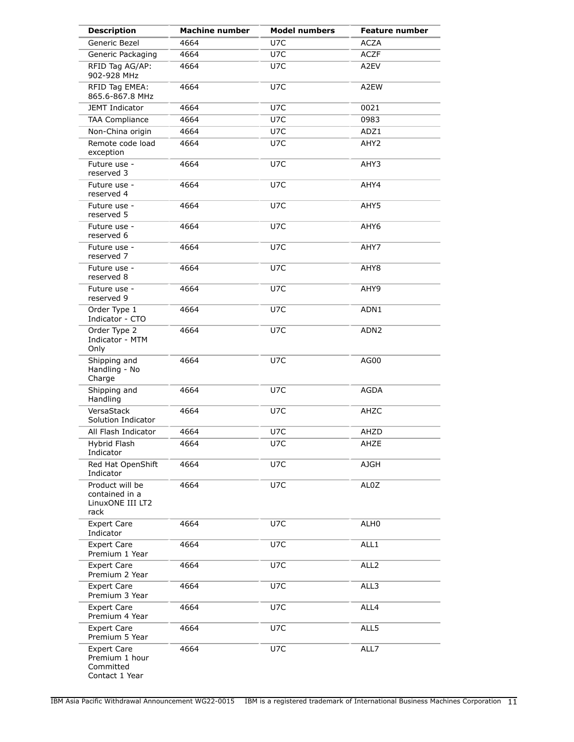| <b>Description</b>                                                  | <b>Machine number</b> | <b>Model numbers</b> | <b>Feature number</b> |
|---------------------------------------------------------------------|-----------------------|----------------------|-----------------------|
| Generic Bezel                                                       | 4664                  | U7C                  | <b>ACZA</b>           |
| Generic Packaging                                                   | 4664                  | U7C                  | ACZF                  |
| RFID Tag AG/AP:<br>902-928 MHz                                      | 4664                  | U7C                  | A2EV                  |
| RFID Tag EMEA:<br>865.6-867.8 MHz                                   | 4664                  | U7C                  | A2EW                  |
| <b>JEMT Indicator</b>                                               | 4664                  | U7C                  | 0021                  |
| <b>TAA Compliance</b>                                               | 4664                  | U7C                  | 0983                  |
| Non-China origin                                                    | 4664                  | U7C                  | ADZ1                  |
| Remote code load<br>exception                                       | 4664                  | U7C                  | AHY <sub>2</sub>      |
| Future use -<br>reserved 3                                          | 4664                  | U7C                  | AHY3                  |
| Future use -<br>reserved 4                                          | 4664                  | U7C                  | AHY4                  |
| Future use -<br>reserved 5                                          | 4664                  | U7C                  | AHY5                  |
| Future use -<br>reserved 6                                          | 4664                  | U7C                  | AHY6                  |
| Future use -<br>reserved 7                                          | 4664                  | U7C                  | AHY7                  |
| Future use -<br>reserved 8                                          | 4664                  | U7C                  | AHY8                  |
| Future use -<br>reserved 9                                          | 4664                  | U7C                  | AHY9                  |
| Order Type 1<br>Indicator - CTO                                     | 4664                  | U7C                  | ADN1                  |
| Order Type 2<br>Indicator - MTM<br>Only                             | 4664                  | U7C                  | ADN <sub>2</sub>      |
| Shipping and<br>Handling - No<br>Charge                             | 4664                  | U7C                  | AG00                  |
| Shipping and<br>Handling                                            | 4664                  | U7C                  | AGDA                  |
| VersaStack<br>Solution Indicator                                    | 4664                  | U7C                  | AHZC                  |
| All Flash Indicator                                                 | 4664                  | U7C                  | AHZD                  |
| Hybrid Flash<br>Indicator                                           | 4664                  | U7C                  | AHZE                  |
| Red Hat OpenShift<br>Indicator                                      | 4664                  | U7C                  | <b>AJGH</b>           |
| Product will be<br>contained in a<br>LinuxONE III LT2<br>rack       | 4664                  | U7C                  | AL0Z                  |
| <b>Expert Care</b><br>Indicator                                     | 4664                  | U7C                  | ALH0                  |
| <b>Expert Care</b><br>Premium 1 Year                                | 4664                  | U7C                  | ALL1                  |
| <b>Expert Care</b><br>Premium 2 Year                                | 4664                  | U7C                  | ALL <sub>2</sub>      |
| <b>Expert Care</b><br>Premium 3 Year                                | 4664                  | U7C                  | ALL3                  |
| <b>Expert Care</b><br>Premium 4 Year                                | 4664                  | U7C                  | ALL4                  |
| <b>Expert Care</b><br>Premium 5 Year                                | 4664                  | U7C                  | ALL5                  |
| <b>Expert Care</b><br>Premium 1 hour<br>Committed<br>Contact 1 Year | 4664                  | U7C                  | ALL7                  |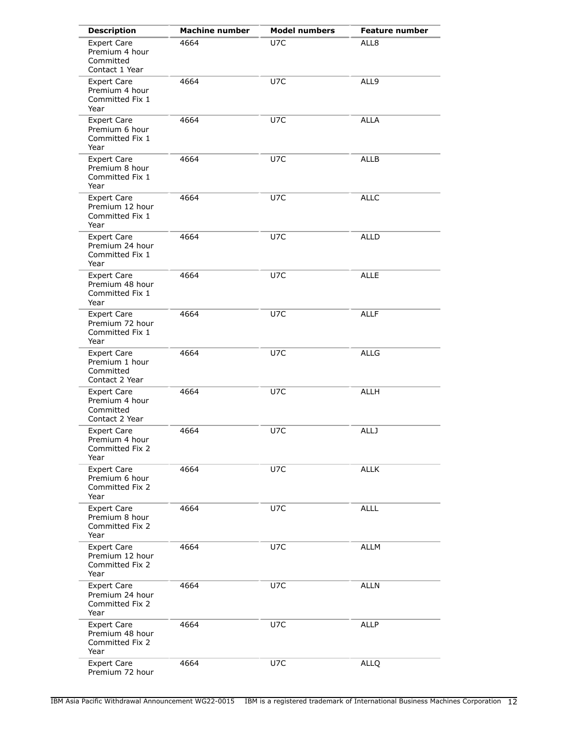| <b>Description</b>                                                  | <b>Machine number</b> | <b>Model numbers</b> | <b>Feature number</b> |
|---------------------------------------------------------------------|-----------------------|----------------------|-----------------------|
| <b>Expert Care</b><br>Premium 4 hour<br>Committed<br>Contact 1 Year | 4664                  | U7C                  | ALL8                  |
| <b>Expert Care</b><br>Premium 4 hour<br>Committed Fix 1<br>Year     | 4664                  | U7C                  | ALL9                  |
| <b>Expert Care</b><br>Premium 6 hour<br>Committed Fix 1<br>Year     | 4664                  | U7C                  | <b>ALLA</b>           |
| <b>Expert Care</b><br>Premium 8 hour<br>Committed Fix 1<br>Year     | 4664                  | U7C                  | <b>ALLB</b>           |
| <b>Expert Care</b><br>Premium 12 hour<br>Committed Fix 1<br>Year    | 4664                  | U7C                  | <b>ALLC</b>           |
| <b>Expert Care</b><br>Premium 24 hour<br>Committed Fix 1<br>Year    | 4664                  | U7C                  | <b>ALLD</b>           |
| <b>Expert Care</b><br>Premium 48 hour<br>Committed Fix 1<br>Year    | 4664                  | U7C                  | <b>ALLE</b>           |
| <b>Expert Care</b><br>Premium 72 hour<br>Committed Fix 1<br>Year    | 4664                  | U7C                  | <b>ALLF</b>           |
| <b>Expert Care</b><br>Premium 1 hour<br>Committed<br>Contact 2 Year | 4664                  | U7C                  | <b>ALLG</b>           |
| <b>Expert Care</b><br>Premium 4 hour<br>Committed<br>Contact 2 Year | 4664                  | U7C                  | <b>ALLH</b>           |
| <b>Expert Care</b><br>Premium 4 hour<br>Committed Fix 2<br>Year     | 4664                  | U7C                  | <b>ALLJ</b>           |
| <b>Expert Care</b><br>Premium 6 hour<br>Committed Fix 2<br>Year     | 4664                  | U7C                  | <b>ALLK</b>           |
| <b>Expert Care</b><br>Premium 8 hour<br>Committed Fix 2<br>Year     | 4664                  | U7C                  | <b>ALLL</b>           |
| <b>Expert Care</b><br>Premium 12 hour<br>Committed Fix 2<br>Year    | 4664                  | U7C                  | <b>ALLM</b>           |
| <b>Expert Care</b><br>Premium 24 hour<br>Committed Fix 2<br>Year    | 4664                  | U7C                  | <b>ALLN</b>           |
| <b>Expert Care</b><br>Premium 48 hour<br>Committed Fix 2<br>Year    | 4664                  | U7C                  | ALLP                  |
| <b>Expert Care</b><br>Premium 72 hour                               | 4664                  | U7C                  | <b>ALLQ</b>           |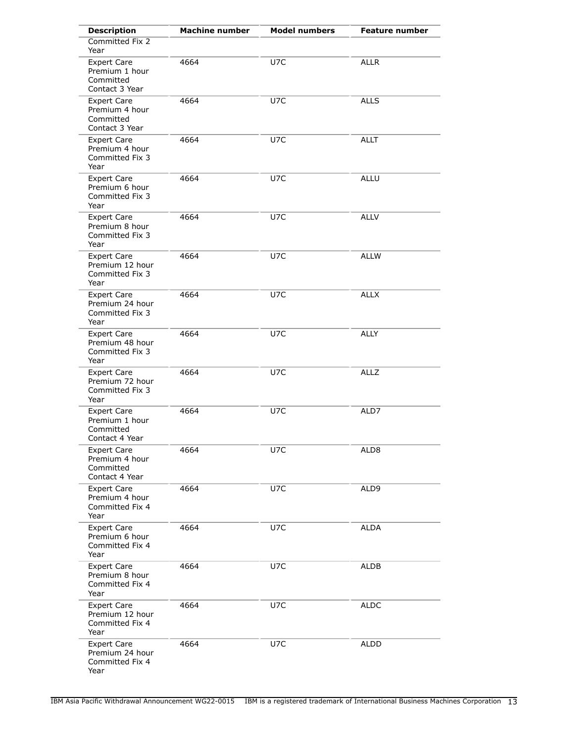| <b>Description</b>                                                  | <b>Machine number</b> | <b>Model numbers</b> | <b>Feature number</b> |
|---------------------------------------------------------------------|-----------------------|----------------------|-----------------------|
| Committed Fix 2<br>Year                                             |                       |                      |                       |
| <b>Expert Care</b><br>Premium 1 hour<br>Committed<br>Contact 3 Year | 4664                  | U7C                  | <b>ALLR</b>           |
| <b>Expert Care</b><br>Premium 4 hour<br>Committed<br>Contact 3 Year | 4664                  | U7C                  | <b>ALLS</b>           |
| <b>Expert Care</b><br>Premium 4 hour<br>Committed Fix 3<br>Year     | 4664                  | U7C                  | <b>ALLT</b>           |
| <b>Expert Care</b><br>Premium 6 hour<br>Committed Fix 3<br>Year     | 4664                  | U7C                  | <b>ALLU</b>           |
| <b>Expert Care</b><br>Premium 8 hour<br>Committed Fix 3<br>Year     | 4664                  | U7C                  | <b>ALLV</b>           |
| <b>Expert Care</b><br>Premium 12 hour<br>Committed Fix 3<br>Year    | 4664                  | U7C                  | <b>ALLW</b>           |
| <b>Expert Care</b><br>Premium 24 hour<br>Committed Fix 3<br>Year    | 4664                  | U7C                  | <b>ALLX</b>           |
| <b>Expert Care</b><br>Premium 48 hour<br>Committed Fix 3<br>Year    | 4664                  | U7C                  | <b>ALLY</b>           |
| <b>Expert Care</b><br>Premium 72 hour<br>Committed Fix 3<br>Year    | 4664                  | U7C                  | <b>ALLZ</b>           |
| <b>Expert Care</b><br>Premium 1 hour<br>Committed<br>Contact 4 Year | 4664                  | U7C                  | ALD7                  |
| <b>Expert Care</b><br>Premium 4 hour<br>Committed<br>Contact 4 Year | 4664                  | U7C                  | ALD <sub>8</sub>      |
| <b>Expert Care</b><br>Premium 4 hour<br>Committed Fix 4<br>Year     | 4664                  | U7C                  | ALD9                  |
| <b>Expert Care</b><br>Premium 6 hour<br>Committed Fix 4<br>Year     | 4664                  | U7C                  | <b>ALDA</b>           |
| <b>Expert Care</b><br>Premium 8 hour<br>Committed Fix 4<br>Year     | 4664                  | U7C                  | <b>ALDB</b>           |
| <b>Expert Care</b><br>Premium 12 hour<br>Committed Fix 4<br>Year    | 4664                  | U7C                  | <b>ALDC</b>           |
| <b>Expert Care</b><br>Premium 24 hour<br>Committed Fix 4<br>Year    | 4664                  | U7C                  | ALDD                  |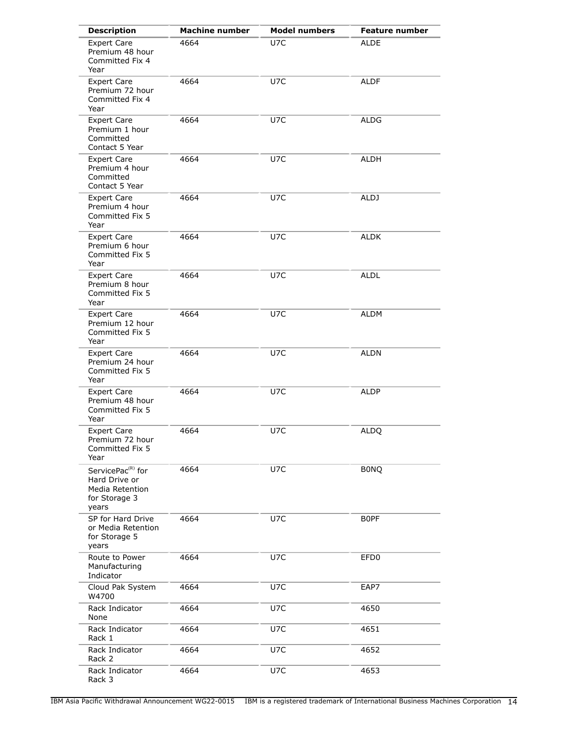| <b>Description</b>                                                                          | <b>Machine number</b> | <b>Model numbers</b> | <b>Feature number</b> |
|---------------------------------------------------------------------------------------------|-----------------------|----------------------|-----------------------|
| <b>Expert Care</b><br>Premium 48 hour<br>Committed Fix 4<br>Year                            | 4664                  | U7C                  | <b>ALDE</b>           |
| <b>Expert Care</b><br>Premium 72 hour<br>Committed Fix 4<br>Year                            | 4664                  | U7C                  | <b>ALDF</b>           |
| <b>Expert Care</b><br>Premium 1 hour<br>Committed<br>Contact 5 Year                         | 4664                  | U7C                  | <b>ALDG</b>           |
| <b>Expert Care</b><br>Premium 4 hour<br>Committed<br>Contact 5 Year                         | 4664                  | U7C                  | ALDH                  |
| <b>Expert Care</b><br>Premium 4 hour<br>Committed Fix 5<br>Year                             | 4664                  | U7C                  | ALDJ                  |
| <b>Expert Care</b><br>Premium 6 hour<br>Committed Fix 5<br>Year                             | 4664                  | U7C                  | <b>ALDK</b>           |
| <b>Expert Care</b><br>Premium 8 hour<br>Committed Fix 5<br>Year                             | 4664                  | U7C                  | <b>ALDL</b>           |
| <b>Expert Care</b><br>Premium 12 hour<br>Committed Fix 5<br>Year                            | 4664                  | U7C                  | <b>ALDM</b>           |
| <b>Expert Care</b><br>Premium 24 hour<br>Committed Fix 5<br>Year                            | 4664                  | U7C                  | <b>ALDN</b>           |
| <b>Expert Care</b><br>Premium 48 hour<br>Committed Fix 5<br>Year                            | 4664                  | U7C                  | <b>ALDP</b>           |
| <b>Expert Care</b><br>Premium 72 hour<br>Committed Fix 5<br>Year                            | 4664                  | U7C                  | <b>ALDQ</b>           |
| ServicePac <sup>(R)</sup> for<br>Hard Drive or<br>Media Retention<br>for Storage 3<br>years | 4664                  | U7C                  | <b>BONQ</b>           |
| SP for Hard Drive<br>or Media Retention<br>for Storage 5<br>years                           | 4664                  | U7C                  | <b>BOPF</b>           |
| Route to Power<br>Manufacturing<br>Indicator                                                | 4664                  | U7C                  | EFD <sub>0</sub>      |
| Cloud Pak System<br>W4700                                                                   | 4664                  | U7C                  | EAP7                  |
| Rack Indicator<br>None                                                                      | 4664                  | U7C                  | 4650                  |
| Rack Indicator<br>Rack 1                                                                    | 4664                  | U7C                  | 4651                  |
| Rack Indicator<br>Rack 2                                                                    | 4664                  | U7C                  | 4652                  |
| Rack Indicator<br>Rack 3                                                                    | 4664                  | U7C                  | 4653                  |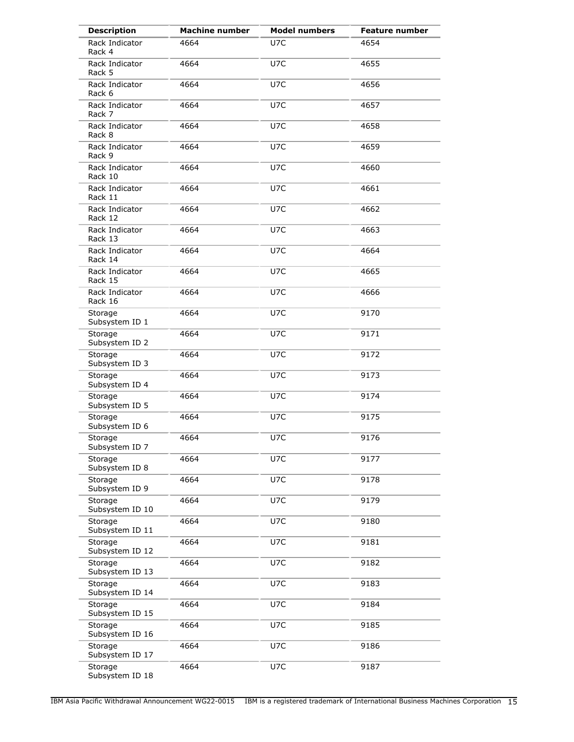| <b>Description</b>         | <b>Machine number</b> | <b>Model numbers</b> | <b>Feature number</b> |
|----------------------------|-----------------------|----------------------|-----------------------|
| Rack Indicator<br>Rack 4   | 4664                  | U7C                  | 4654                  |
| Rack Indicator<br>Rack 5   | 4664                  | U7C                  | 4655                  |
| Rack Indicator<br>Rack 6   | 4664                  | U7C                  | 4656                  |
| Rack Indicator<br>Rack 7   | 4664                  | U7C                  | 4657                  |
| Rack Indicator<br>Rack 8   | 4664                  | U7C                  | 4658                  |
| Rack Indicator<br>Rack 9   | 4664                  | U7C                  | 4659                  |
| Rack Indicator<br>Rack 10  | 4664                  | U7C                  | 4660                  |
| Rack Indicator<br>Rack 11  | 4664                  | U7C                  | 4661                  |
| Rack Indicator<br>Rack 12  | 4664                  | U7C                  | 4662                  |
| Rack Indicator<br>Rack 13  | 4664                  | U7C                  | 4663                  |
| Rack Indicator<br>Rack 14  | 4664                  | U7C                  | 4664                  |
| Rack Indicator<br>Rack 15  | 4664                  | U7C                  | 4665                  |
| Rack Indicator<br>Rack 16  | 4664                  | U7C                  | 4666                  |
| Storage<br>Subsystem ID 1  | 4664                  | U7C                  | 9170                  |
| Storage<br>Subsystem ID 2  | 4664                  | U7C                  | 9171                  |
| Storage<br>Subsystem ID 3  | 4664                  | U7C                  | 9172                  |
| Storage<br>Subsystem ID 4  | 4664                  | U7C                  | 9173                  |
| Storage<br>Subsystem ID 5  | 4664                  | U7C                  | 9174                  |
| Storage<br>Subsystem ID 6  | 4664                  | U7C                  | 9175                  |
| Storage<br>Subsystem ID 7  | 4664                  | U7C                  | 9176                  |
| Storage<br>Subsystem ID 8  | 4664                  | U7C                  | 9177                  |
| Storage<br>Subsystem ID 9  | 4664                  | U7C                  | 9178                  |
| Storage<br>Subsystem ID 10 | 4664                  | U7C                  | 9179                  |
| Storage<br>Subsystem ID 11 | 4664                  | U7C                  | 9180                  |
| Storage<br>Subsystem ID 12 | 4664                  | U7C                  | 9181                  |
| Storage<br>Subsystem ID 13 | 4664                  | U7C                  | 9182                  |
| Storage<br>Subsystem ID 14 | 4664                  | U7C                  | 9183                  |
| Storage<br>Subsystem ID 15 | 4664                  | U7C                  | 9184                  |
| Storage<br>Subsystem ID 16 | 4664                  | U7C                  | 9185                  |
| Storage<br>Subsystem ID 17 | 4664                  | U7C                  | 9186                  |
| Storage<br>Subsystem ID 18 | 4664                  | U7C                  | 9187                  |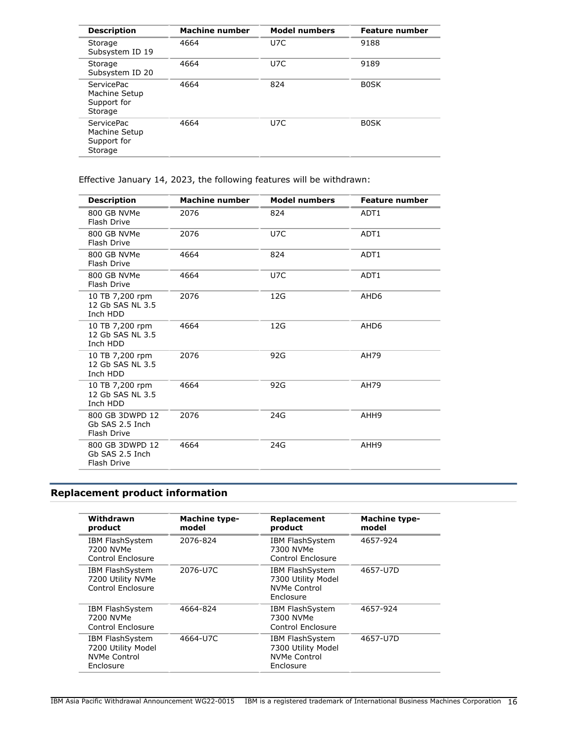| <b>Description</b>                                           | <b>Machine number</b> | <b>Model numbers</b> | <b>Feature number</b> |
|--------------------------------------------------------------|-----------------------|----------------------|-----------------------|
| Storage<br>Subsystem ID 19                                   | 4664                  | U7C                  | 9188                  |
| Storage<br>Subsystem ID 20                                   | 4664                  | U7C                  | 9189                  |
| <b>ServicePac</b><br>Machine Setup<br>Support for<br>Storage | 4664                  | 824                  | <b>BOSK</b>           |
| <b>ServicePac</b><br>Machine Setup<br>Support for<br>Storage | 4664                  | U7C                  | <b>BOSK</b>           |

Effective January 14, 2023, the following features will be withdrawn:

| <b>Description</b>                                | <b>Machine number</b> | <b>Model numbers</b> | <b>Feature number</b> |
|---------------------------------------------------|-----------------------|----------------------|-----------------------|
| 800 GB NVMe<br><b>Flash Drive</b>                 | 2076                  | 824                  | ADT <sub>1</sub>      |
| 800 GB NVMe<br>Flash Drive                        | 2076                  | U7C                  | ADT <sub>1</sub>      |
| 800 GB NVMe<br>Flash Drive                        | 4664                  | 824                  | ADT1                  |
| 800 GB NVMe<br>Flash Drive                        | 4664                  | U7C                  | ADT1                  |
| 10 TB 7,200 rpm<br>12 Gb SAS NL 3.5<br>Inch HDD   | 2076                  | 12G                  | AHD <sub>6</sub>      |
| 10 TB 7,200 rpm<br>12 Gb SAS NL 3.5<br>Inch HDD   | 4664                  | 12G                  | AHD <sub>6</sub>      |
| 10 TB 7,200 rpm<br>12 Gb SAS NL 3.5<br>Inch HDD   | 2076                  | 92G                  | AH79                  |
| 10 TB 7,200 rpm<br>12 Gb SAS NL 3.5<br>Inch HDD   | 4664                  | 92G                  | AH79                  |
| 800 GB 3DWPD 12<br>Gb SAS 2.5 Inch<br>Flash Drive | 2076                  | 24G                  | AHH9                  |
| 800 GB 3DWPD 12<br>Gb SAS 2.5 Inch<br>Flash Drive | 4664                  | 24G                  | AHH9                  |
|                                                   |                       |                      |                       |

# <span id="page-15-0"></span>**Replacement product information**

| Withdrawn<br>product                                                             | <b>Machine type-</b><br>model | Replacement<br>product                                                           | <b>Machine type-</b><br>model |
|----------------------------------------------------------------------------------|-------------------------------|----------------------------------------------------------------------------------|-------------------------------|
| <b>IBM FlashSystem</b><br>7200 NVMe<br>Control Enclosure                         | 2076-824                      | <b>IBM FlashSystem</b><br>7300 NVMe<br>Control Enclosure                         | 4657-924                      |
| <b>IBM FlashSystem</b><br>7200 Utility NVMe<br>Control Enclosure                 | 2076-U7C                      | <b>IBM FlashSystem</b><br>7300 Utility Model<br>NVMe Control<br>Enclosure        | 4657-U7D                      |
| <b>IBM FlashSystem</b><br>7200 NVMe<br>Control Enclosure                         | 4664-824                      | <b>IBM FlashSystem</b><br>7300 NVMe<br>Control Enclosure                         | 4657-924                      |
| <b>IBM FlashSystem</b><br>7200 Utility Model<br><b>NVMe Control</b><br>Enclosure | 4664-U7C                      | <b>IBM FlashSystem</b><br>7300 Utility Model<br><b>NVMe Control</b><br>Enclosure | 4657-U7D                      |